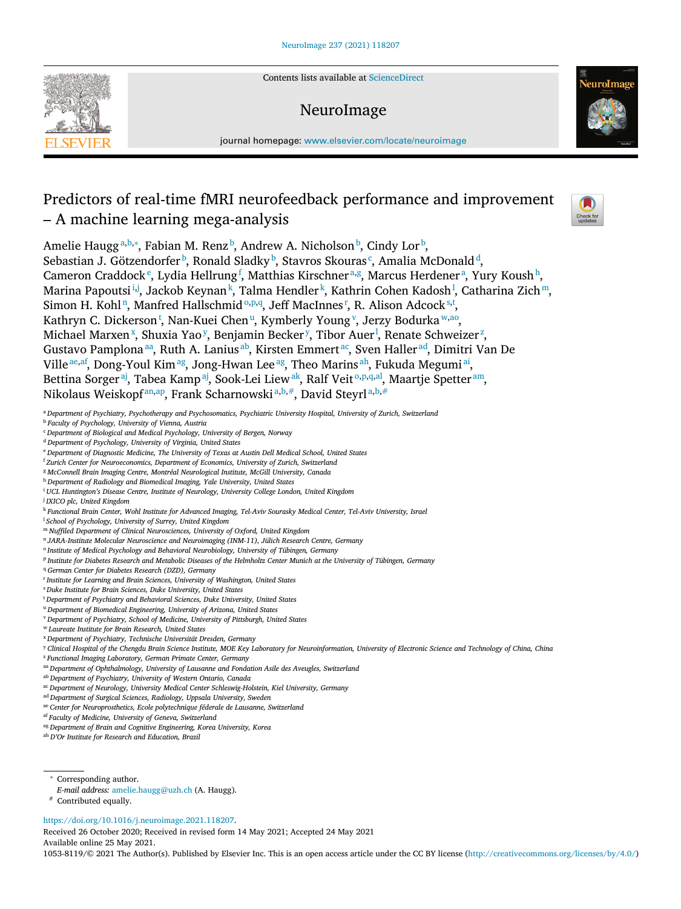Contents lists available at [ScienceDirect](http://www.ScienceDirect.com)

# NeuroImage



journal homepage: [www.elsevier.com/locate/neuroimage](http://www.elsevier.com/locate/neuroimage)

# Predictors of real-time fMRI neurofeedback performance and improvement – A machine learning mega-analysis



Amelie Haugga,b,<sup>∗</sup> , Fabian M. Renz <sup>b</sup> , Andrew A. Nicholson<sup>b</sup> , Cindy Lor <sup>b</sup> , Sebastian J. Götzendorfer $^{\rm b}$ , Ronald Sladky $^{\rm b}$ , Stavros Skouras $^{\rm c}$ , Amalia McDonald $^{\rm d}$ , Cameron Craddock<sup>e</sup>, Lydia Hellrung <sup>f</sup>, Matthias Kirschner<sup>a,g</sup>, Marcus Herdener<sup>a</sup>, Yury Koush <sup>h</sup>, Marina Papoutsi<u>ii, Jackob Keynank, Talma Hendlerk,</u> Kathrin Cohen Kadosh<sup>1</sup>, Catharina Zich<sup>m</sup>, Simon H. Kohl<sup>n</sup>, Manfred Hallschmid<sup>0,p,q</sup>, Jeff MacInnes<sup>r</sup>, R. Alison Adcock<sup>s,t</sup>, Kathryn C. Dickerson†, Nan-Kuei Chen<u>u, Kymberly Youngv, Jerzy Bodurka<sup>w,ao</sup>,</u> Michael Marxen<sup>x</sup>, Shuxia Yao<sup>y</sup>, Benjamin Becker<sup>y</sup>, Tibor Auer<sup>l</sup>, Renate Schweizer<sup>z</sup>, Gustavo Pamplona<sup>aa</sup>, Ruth A. Lanius<sup>ab</sup>, Kirsten Emmert<sup>ac</sup>, Sven Haller<sup>ad</sup>, Dimitri Van De Ville<sup>ae,af</sup>, Dong-Youl Kim<sup>ag</sup>, Jong-Hwan Lee<sup>ag</sup>, Theo Marins<sup>ah</sup>, Fukuda Megumi<sup>ai</sup>, Bettina Sorger<sup>aj</sup>, Tabea Kamp<sup>aj</sup>, Sook-Lei Liew<sup>ak</sup>, Ralf Veit<sup>0, p,q,al</sup>, Maartje Spetter<sup>am</sup>, Nikolaus Weiskopf<sup>an,ap</sup>, Frank Scharnowski<sup>a,b,#</sup>, David Steyrl<sup>a,b,#</sup>

<sup>a</sup> *Department of Psychiatry, Psychotherapy and Psychosomatics, Psychiatric University Hospital, University of Zurich, Switzerland*

- <sup>b</sup> *Faculty of Psychology, University of Vienna, Austria*
- <sup>c</sup> *Department of Biological and Medical Psychology, University of Bergen, Norway*
- <sup>d</sup> *Department of Psychology, University of Virginia, United States*
- <sup>e</sup> *Department of Diagnostic Medicine, The University of Texas at Austin Dell Medical School, United States*
- <sup>f</sup> *Zurich Center for Neuroeconomics, Department of Economics, University of Zurich, Switzerland*
- <sup>g</sup> *McConnell Brain Imaging Centre, Montréal Neurological Institute, McGill University, Canada*
- <sup>h</sup> *Department of Radiology and Biomedical Imaging, Yale University, United States*
- <sup>i</sup> *UCL Huntington's Disease Centre, Institute of Neurology, University College London, United Kingdom*
- <sup>j</sup> *IXICO plc, United Kingdom*
- k Functional Brain Center, Wohl Institute for Advanced Imaging, Tel-Aviv Sourasky Medical Center, Tel-Aviv University, Israel
- <sup>l</sup> *School of Psychology, University of Surrey, United Kingdom*
- <sup>m</sup> *Nuffiled Department of Clinical Neurosciences, University of Oxford, United Kingdom*
- <sup>n</sup> *JARA-Institute Molecular Neuroscience and Neuroimaging (INM-11), Jülich Research Centre, Germany*
- <sup>o</sup> *Institute of Medical Psychology and Behavioral Neurobiology, University of Tübingen, Germany*
- P Institute for Diabetes Research and Metabolic Diseases of the Helmholtz Center Munich at the University of Tübingen, Germany
- <sup>q</sup> *German Center for Diabetes Research (DZD), Germany*
- <sup>r</sup> *Institute for Learning and Brain Sciences, University of Washington, United States*
- <sup>s</sup> *Duke Institute for Brain Sciences, Duke University, United States*
- <sup>t</sup> *Department of Psychiatry and Behavioral Sciences, Duke University, United States*
- <sup>u</sup> *Department of Biomedical Engineering, University of Arizona, United States*
- <sup>v</sup> *Department of Psychiatry, School of Medicine, University of Pittsburgh, United States*
- <sup>w</sup> *Laureate Institute for Brain Research, United States*
- <sup>x</sup> *Department of Psychiatry, Technische Universität Dresden, Germany*
- y Clinical Hospital of the Chengdu Brain Science Institute, MOE Key Laboratory for Neuroinformation, University of Electronic Science and Technology of China, China
- <sup>z</sup> *Functional Imaging Laboratory, German Primate Center, Germany*
- aa *Department of Ophthalmology, University of Lausanne and Fondation Asile des Aveugles, Switzerland*
- ab *Department of Psychiatry, University of Western Ontario, Canada*
- ac *Department of Neurology, University Medical Center Schleswig-Holstein, Kiel University, Germany*
- ad *Department of Surgical Sciences, Radiology, Uppsala University, Sweden*
- ae *Center for Neuroprosthetics, Ecole polytechnique féderale de Lausanne, Switzerland*
- af *Faculty of Medicine, University of Geneva, Switzerland*

<sup>∗</sup> Corresponding author.

Received 26 October 2020; Received in revised form 14 May 2021; Accepted 24 May 2021 Available online 25 May 2021.

1053-8119/© 2021 The Author(s). Published by Elsevier Inc. This is an open access article under the CC BY license [\(http://creativecommons.org/licenses/by/4.0/\)](http://creativecommons.org/licenses/by/4.0/)

ag *Department of Brain and Cognitive Engineering, Korea University, Korea* ah *D'Or Institute for Research and Education, Brazil*

*E-mail address:* [amelie.haugg@uzh.ch](mailto:amelie.haugg@uzh.ch) (A. Haugg).

<sup>#</sup> Contributed equally.

[https://doi.org/10.1016/j.neuroimage.2021.118207.](https://doi.org/10.1016/j.neuroimage.2021.118207)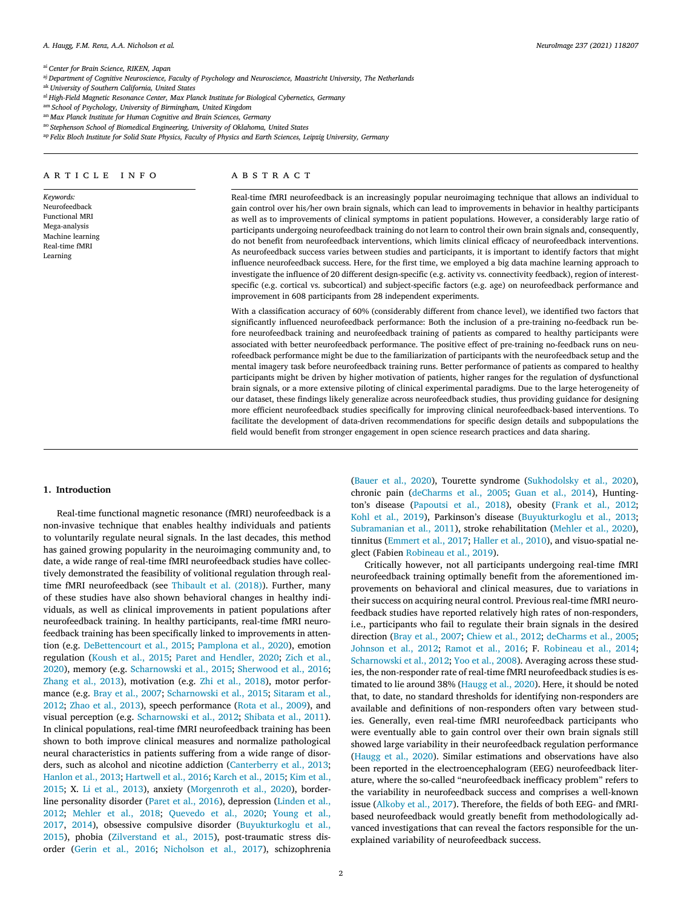<span id="page-1-0"></span>ai *Center for Brain Science, RIKEN, Japan*

aj *Department of Cognitive Neuroscience, Faculty of Psychology and Neuroscience, Maastricht University, The Netherlands*

ak *University of Southern California, United States*

al *High-Field Magnetic Resonance Center, Max Planck Institute for Biological Cybernetics, Germany*

am *School of Psychology, University of Birmingham, United Kingdom*

an *Max Planck Institute for Human Cognitive and Brain Sciences, Germany*

ao *Stephenson School of Biomedical Engineering, University of Oklahoma, United States*

ap Felix Bloch Institute for Solid State Physics, Faculty of Physics and Earth Sciences, Leipzig University, Germany

## a r t i c l e i n f o

*Keywords:* Neurofeedback Functional MRI Mega-analysis Machine learning Real-time fMRI Learning

## A B S T R A C T

Real-time fMRI neurofeedback is an increasingly popular neuroimaging technique that allows an individual to gain control over his/her own brain signals, which can lead to improvements in behavior in healthy participants as well as to improvements of clinical symptoms in patient populations. However, a considerably large ratio of participants undergoing neurofeedback training do not learn to control their own brain signals and, consequently, do not benefit from neurofeedback interventions, which limits clinical efficacy of neurofeedback interventions. As neurofeedback success varies between studies and participants, it is important to identify factors that might influence neurofeedback success. Here, for the first time, we employed a big data machine learning approach to investigate the influence of 20 different design-specific (e.g. activity vs. connectivity feedback), region of interestspecific (e.g. cortical vs. subcortical) and subject-specific factors (e.g. age) on neurofeedback performance and improvement in 608 participants from 28 independent experiments.

With a classification accuracy of 60% (considerably different from chance level), we identified two factors that significantly influenced neurofeedback performance: Both the inclusion of a pre-training no-feedback run before neurofeedback training and neurofeedback training of patients as compared to healthy participants were associated with better neurofeedback performance. The positive effect of pre-training no-feedback runs on neurofeedback performance might be due to the familiarization of participants with the neurofeedback setup and the mental imagery task before neurofeedback training runs. Better performance of patients as compared to healthy participants might be driven by higher motivation of patients, higher ranges for the regulation of dysfunctional brain signals, or a more extensive piloting of clinical experimental paradigms. Due to the large heterogeneity of our dataset, these findings likely generalize across neurofeedback studies, thus providing guidance for designing more efficient neurofeedback studies specifically for improving clinical neurofeedback-based interventions. To facilitate the development of data-driven recommendations for specific design details and subpopulations the field would benefit from stronger engagement in open science research practices and data sharing.

#### **1. Introduction**

Real-time functional magnetic resonance (fMRI) neurofeedback is a non-invasive technique that enables healthy individuals and patients to voluntarily regulate neural signals. In the last decades, this method has gained growing popularity in the neuroimaging community and, to date, a wide range of real-time fMRI neurofeedback studies have collectively demonstrated the feasibility of volitional regulation through realtime fMRI neurofeedback (see [Thibault](#page-9-0) et al. (2018)). Further, many of these studies have also shown behavioral changes in healthy individuals, as well as clinical improvements in patient populations after neurofeedback training. In healthy participants, real-time fMRI neurofeedback training has been specifically linked to improvements in attention (e.g. [DeBettencourt](#page-8-0) et al., 2015; [Pamplona](#page-9-0) et al., 2020), emotion regulation [\(Koush](#page-8-0) et al., 2015; Paret and [Hendler,](#page-9-0) 2020; Zich et al., 2020), memory (e.g. [Scharnowski](#page-10-0) et al., 2015; [Sherwood](#page-9-0) et al., 2016; [Zhang](#page-9-0) et al., 2013), motivation (e.g. Zhi et al., [2018\)](#page-10-0), motor performance (e.g. Bray et al., [2007;](#page-8-0) [Scharnowski](#page-9-0) et al., 2015; Sitaram et al., 2012; Zhao et al., [2013\)](#page-9-0), speech performance (Rota et al., [2009\)](#page-9-0), and visual perception (e.g. [Scharnowski](#page-9-0) et al., 2012; [Shibata](#page-9-0) et al., 2011). In clinical populations, real-time fMRI neurofeedback training has been shown to both improve clinical measures and normalize pathological neural characteristics in patients suffering from a wide range of disorders, such as alcohol and nicotine addiction [\(Canterberry](#page-8-0) et al., 2013; [Hanlon](#page-8-0) et al., 2013; [Hartwell](#page-8-0) et al., 2016; [Karch](#page-8-0) et al., 2015; Kim et al., 2015; X. Li et al., [2013\)](#page-8-0), anxiety [\(Morgenroth](#page-8-0) et al., 2020), borderline [personality](#page-9-0) disorder [\(Paret](#page-9-0) et al., 2016), depression (Linden et al., 2012; [Mehler](#page-9-0) et al., 2018; [Quevedo](#page-9-0) et al., 2020; Young et al., 2017, [2014\)](#page-9-0), obsessive compulsive disorder [\(Buyukturkoglu](#page-9-0) et al., 2015), phobia [\(Zilverstand](#page-10-0) et al., 2015), post-traumatic stress disorder [\(Gerin](#page-8-0) et al., 2016; [Nicholson](#page-9-0) et al., 2017), schizophrenia [\(Bauer](#page-8-0) et al., 2020), Tourette syndrome [\(Sukhodolsky](#page-9-0) et al., 2020), chronic pain [\(deCharms](#page-8-0) et al., 2005; [Guan](#page-8-0) et al., 2014), Huntington's disease [\(Papoutsi](#page-9-0) et al., 2018), obesity [\(Frank](#page-8-0) et al., 2012; Kohl et al., [2019\)](#page-8-0), Parkinson's disease [\(Buyukturkoglu](#page-8-0) et al., 2013; [Subramanian](#page-9-0) et al., 2011), stroke rehabilitation [\(Mehler](#page-9-0) et al., 2020), tinnitus [\(Emmert](#page-8-0) et al., 2017; [Haller](#page-8-0) et al., 2010), and visuo-spatial neglect (Fabien [Robineau](#page-9-0) et al., 2019).

Critically however, not all participants undergoing real-time fMRI neurofeedback training optimally benefit from the aforementioned improvements on behavioral and clinical measures, due to variations in their success on acquiring neural control. Previous real-time fMRI neurofeedback studies have reported relatively high rates of non-responders, i.e., participants who fail to regulate their brain signals in the desired direction (Bray et al., [2007;](#page-8-0) [Chiew](#page-8-0) et al., 2012; [deCharms](#page-8-0) et al., 2005; [Johnson](#page-8-0) et al., 2012; [Ramot](#page-9-0) et al., 2016; F. [Robineau](#page-9-0) et al., 2014; [Scharnowski](#page-9-0) et al., 2012; Yoo et al., [2008\)](#page-9-0). Averaging across these studies, the non-responder rate of real-time fMRI neurofeedback studies is estimated to lie around 38% [\(Haugg](#page-8-0) et al., 2020). Here, it should be noted that, to date, no standard thresholds for identifying non-responders are available and definitions of non-responders often vary between studies. Generally, even real-time fMRI neurofeedback participants who were eventually able to gain control over their own brain signals still showed large variability in their neurofeedback regulation performance [\(Haugg](#page-8-0) et al., 2020). Similar estimations and observations have also been reported in the electroencephalogram (EEG) neurofeedback literature, where the so-called "neurofeedback inefficacy problem" refers to the variability in neurofeedback success and comprises a well-known issue [\(Alkoby](#page-8-0) et al., 2017). Therefore, the fields of both EEG- and fMRIbased neurofeedback would greatly benefit from methodologically advanced investigations that can reveal the factors responsible for the unexplained variability of neurofeedback success.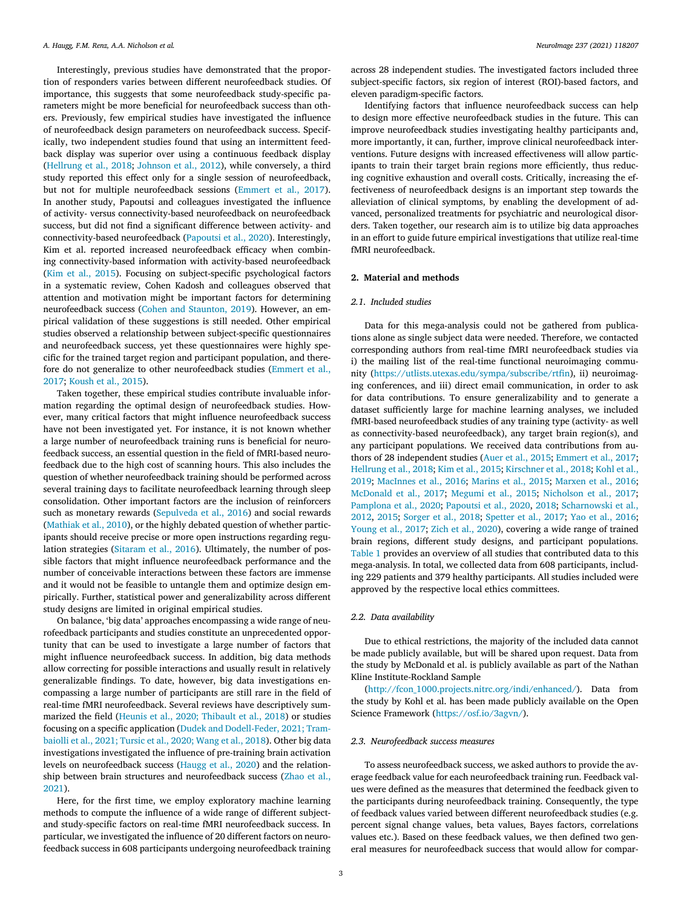Interestingly, previous studies have demonstrated that the proportion of responders varies between different neurofeedback studies. Of importance, this suggests that some neurofeedback study-specific parameters might be more beneficial for neurofeedback success than others. Previously, few empirical studies have investigated the influence of neurofeedback design parameters on neurofeedback success. Specifically, two independent studies found that using an intermittent feedback display was superior over using a continuous feedback display [\(Hellrung](#page-8-0) et al., 2018; [Johnson](#page-8-0) et al., 2012), while conversely, a third study reported this effect only for a single session of neurofeedback, but not for multiple neurofeedback sessions [\(Emmert](#page-8-0) et al., 2017). In another study, Papoutsi and colleagues investigated the influence of activity- versus connectivity-based neurofeedback on neurofeedback success, but did not find a significant difference between activity- and connectivity-based neurofeedback [\(Papoutsi](#page-9-0) et al., 2020). Interestingly, Kim et al. reported increased neurofeedback efficacy when combining connectivity-based information with activity-based neurofeedback (Kim et al., [2015\)](#page-8-0). Focusing on subject-specific psychological factors in a systematic review, Cohen Kadosh and colleagues observed that attention and motivation might be important factors for determining neurofeedback success (Cohen and [Staunton,](#page-8-0) 2019). However, an empirical validation of these suggestions is still needed. Other empirical studies observed a relationship between subject-specific questionnaires and neurofeedback success, yet these questionnaires were highly specific for the trained target region and participant population, and therefore do not generalize to other [neurofeedback](#page-8-0) studies (Emmert et al., 2017; [Koush](#page-8-0) et al., 2015).

Taken together, these empirical studies contribute invaluable information regarding the optimal design of neurofeedback studies. However, many critical factors that might influence neurofeedback success have not been investigated yet. For instance, it is not known whether a large number of neurofeedback training runs is beneficial for neurofeedback success, an essential question in the field of fMRI-based neurofeedback due to the high cost of scanning hours. This also includes the question of whether neurofeedback training should be performed across several training days to facilitate neurofeedback learning through sleep consolidation. Other important factors are the inclusion of reinforcers such as monetary rewards [\(Sepulveda](#page-9-0) et al., 2016) and social rewards [\(Mathiak](#page-9-0) et al., 2010), or the highly debated question of whether participants should receive precise or more open instructions regarding regulation strategies [\(Sitaram](#page-9-0) et al., 2016). Ultimately, the number of possible factors that might influence neurofeedback performance and the number of conceivable interactions between these factors are immense and it would not be feasible to untangle them and optimize design empirically. Further, statistical power and generalizability across different study designs are limited in original empirical studies.

On balance, 'big data' approaches encompassing a wide range of neurofeedback participants and studies constitute an unprecedented opportunity that can be used to investigate a large number of factors that might influence neurofeedback success. In addition, big data methods allow correcting for possible interactions and usually result in relatively generalizable findings. To date, however, big data investigations encompassing a large number of participants are still rare in the field of real-time fMRI neurofeedback. Several reviews have descriptively summarized the field (Heunis et al., 2020; [Thibault](#page-8-0) et al., 2018) or studies focusing on a specific application (Dudek and [Dodell-Feder,](#page-8-0) 2021; Trambaiolli et al., 2021; Tursic et al., 2020; Wang et al., 2018). Other big data investigations investigated the influence of pre-training brain activation levels on neurofeedback success [\(Haugg](#page-8-0) et al., 2020) and the relationship between brain structures and [neurofeedback](#page-10-0) success (Zhao et al., 2021).

Here, for the first time, we employ exploratory machine learning methods to compute the influence of a wide range of different subjectand study-specific factors on real-time fMRI neurofeedback success. In particular, we investigated the influence of 20 different factors on neurofeedback success in 608 participants undergoing neurofeedback training

across 28 independent studies. The investigated factors included three subject-specific factors, six region of interest (ROI)-based factors, and eleven paradigm-specific factors.

Identifying factors that influence neurofeedback success can help to design more effective neurofeedback studies in the future. This can improve neurofeedback studies investigating healthy participants and, more importantly, it can, further, improve clinical neurofeedback interventions. Future designs with increased effectiveness will allow participants to train their target brain regions more efficiently, thus reducing cognitive exhaustion and overall costs. Critically, increasing the effectiveness of neurofeedback designs is an important step towards the alleviation of clinical symptoms, by enabling the development of advanced, personalized treatments for psychiatric and neurological disorders. Taken together, our research aim is to utilize big data approaches in an effort to guide future empirical investigations that utilize real-time fMRI neurofeedback.

## **2. Material and methods**

#### *2.1. Included studies*

Data for this mega-analysis could not be gathered from publications alone as single subject data were needed. Therefore, we contacted corresponding authors from real-time fMRI neurofeedback studies via i) the mailing list of the real-time functional neuroimaging community [\(https://utlists.utexas.edu/sympa/subscribe/rtfin\)](https://utlists.utexas.edu/sympa/subscribe/rtfin), ii) neuroimaging conferences, and iii) direct email communication, in order to ask for data contributions. To ensure generalizability and to generate a dataset sufficiently large for machine learning analyses, we included fMRI-based neurofeedback studies of any training type (activity- as well as connectivity-based neurofeedback), any target brain region(s), and any participant populations. We received data contributions from authors of 28 independent studies (Auer et al., [2015;](#page-8-0) [Emmert](#page-8-0) et al., 2017; [Hellrung](#page-8-0) et al., 2018; Kim et al., [2015;](#page-8-0) [Kirschner](#page-8-0) et al., 2018; Kohl et al., 2019; [MacInnes](#page-9-0) et al., 2016; [Marins](#page-9-0) et al., 2015; [Marxen](#page-9-0) et al., 2016; [McDonald](#page-9-0) et al., 2017; [Megumi](#page-9-0) et al., 2015; [Nicholson](#page-9-0) et al., 2017; [Pamplona](#page-9-0) et al., 2020; [Papoutsi](#page-9-0) et al., 2020, [2018;](#page-9-0) [Scharnowski](#page-9-0) et al., 2012, [2015;](#page-9-0) [Sorger](#page-9-0) et al., 2018; [Spetter](#page-9-0) et al., 2017; Yao et al., [2016;](#page-9-0) [Young](#page-9-0) et al., 2017; Zich et al., [2020\)](#page-10-0), covering a wide range of trained brain regions, different study designs, and participant populations. [Table](#page-3-0) 1 provides an overview of all studies that contributed data to this mega-analysis. In total, we collected data from 608 participants, including 229 patients and 379 healthy participants. All studies included were approved by the respective local ethics committees.

## *2.2. Data availability*

Due to ethical restrictions, the majority of the included data cannot be made publicly available, but will be shared upon request. Data from the study by McDonald et al. is publicly available as part of the Nathan Kline Institute-Rockland Sample

[\(http://fcon\\_1000.projects.nitrc.org/indi/enhanced/\)](http://fcon_1000.projects.nitrc.org/indi/enhanced/). Data from the study by Kohl et al. has been made publicly available on the Open Science Framework [\(https://osf.io/3agvn/\)](https://osf.io/3agvn/).

#### *2.3. Neurofeedback success measures*

To assess neurofeedback success, we asked authors to provide the average feedback value for each neurofeedback training run. Feedback values were defined as the measures that determined the feedback given to the participants during neurofeedback training. Consequently, the type of feedback values varied between different neurofeedback studies (e.g. percent signal change values, beta values, Bayes factors, correlations values etc.). Based on these feedback values, we then defined two general measures for neurofeedback success that would allow for compar-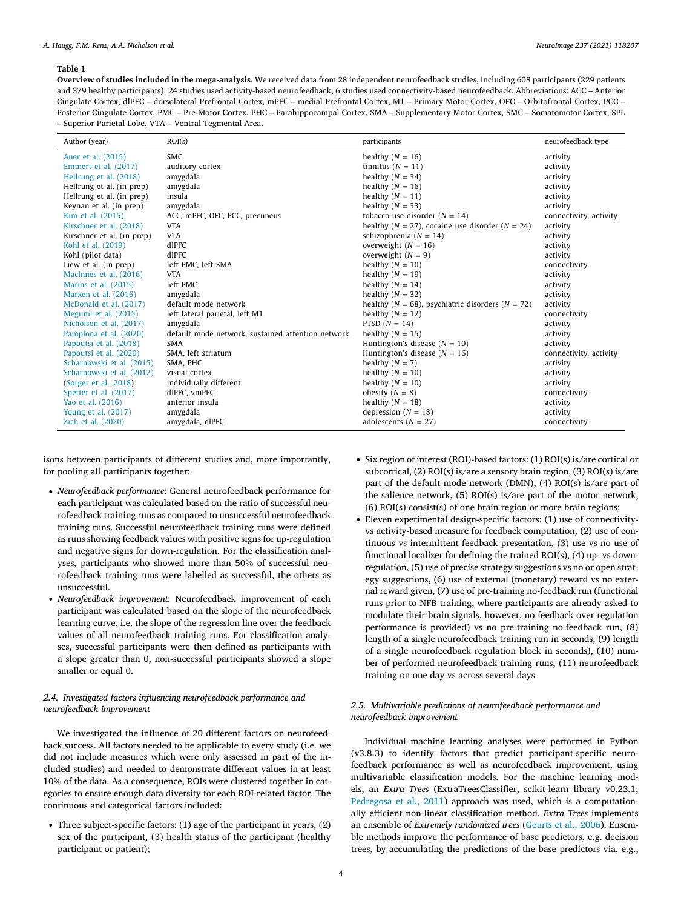#### <span id="page-3-0"></span>**Table 1**

**Overview of studies included in the mega-analysis**. We received data from 28 independent neurofeedback studies, including 608 participants (229 patients and 379 healthy participants). 24 studies used activity-based neurofeedback, 6 studies used connectivity-based neurofeedback. Abbreviations: ACC – Anterior Cingulate Cortex, dlPFC – dorsolateral Prefrontal Cortex, mPFC – medial Prefrontal Cortex, M1 – Primary Motor Cortex, OFC – Orbitofrontal Cortex, PCC – Posterior Cingulate Cortex, PMC – Pre-Motor Cortex, PHC – Parahippocampal Cortex, SMA – Supplementary Motor Cortex, SMC – Somatomotor Cortex, SPL – Superior Parietal Lobe, VTA – Ventral Tegmental Area.

| Author (year)              | ROI(s)                                            | participants                                             | neurofeedback type     |
|----------------------------|---------------------------------------------------|----------------------------------------------------------|------------------------|
| Auer et al. (2015)         | <b>SMC</b>                                        | healthy $(N = 16)$                                       | activity               |
| Emmert et al. (2017)       | auditory cortex                                   | tinnitus ( $N = 11$ )                                    | activity               |
| Hellrung et al. (2018)     | amygdala                                          | healthy $(N = 34)$                                       | activity               |
| Hellrung et al. (in prep)  | amygdala                                          | healthy $(N = 16)$                                       | activity               |
| Hellrung et al. (in prep)  | insula                                            | healthy $(N = 11)$                                       | activity               |
| Keynan et al. (in prep)    | amygdala                                          | healthy $(N = 33)$                                       | activity               |
| Kim et al. (2015)          | ACC, mPFC, OFC, PCC, precuneus                    | tobacco use disorder ( $N = 14$ )                        | connectivity, activity |
| Kirschner et al. (2018)    | <b>VTA</b>                                        | healthy ( $N = 27$ ), cocaine use disorder ( $N = 24$ )  | activity               |
| Kirschner et al. (in prep) | <b>VTA</b>                                        | schizophrenia ( $N = 14$ )                               | activity               |
| Kohl et al. (2019)         | dlPFC                                             | overweight $(N = 16)$                                    | activity               |
| Kohl (pilot data)          | dlPFC                                             | overweight $(N = 9)$                                     | activity               |
| Liew et al. (in prep)      | left PMC, left SMA                                | healthy $(N = 10)$                                       | connectivity           |
| MacInnes et al. (2016)     | <b>VTA</b>                                        | healthy $(N = 19)$                                       | activity               |
| Marins et al. (2015)       | left PMC                                          | healthy $(N = 14)$                                       | activity               |
| Marxen et al. (2016)       | amygdala                                          | healthy $(N = 32)$                                       | activity               |
| McDonald et al. (2017)     | default mode network                              | healthy ( $N = 68$ ), psychiatric disorders ( $N = 72$ ) | activity               |
| Megumi et al. (2015)       | left lateral parietal, left M1                    | healthy $(N = 12)$                                       | connectivity           |
| Nicholson et al. (2017)    | amygdala                                          | PTSD $(N = 14)$                                          | activity               |
| Pamplona et al. (2020)     | default mode network, sustained attention network | healthy $(N = 15)$                                       | activity               |
| Papoutsi et al. (2018)     | <b>SMA</b>                                        | Huntington's disease ( $N = 10$ )                        | activity               |
| Papoutsi et al. (2020)     | SMA, left striatum                                | Huntington's disease ( $N = 16$ )                        | connectivity, activity |
| Scharnowski et al. (2015)  | SMA, PHC                                          | healthy $(N = 7)$                                        | activity               |
| Scharnowski et al. (2012)  | visual cortex                                     | healthy $(N = 10)$                                       | activity               |
| (Sorger et al., 2018)      | individually different                            | healthy $(N = 10)$                                       | activity               |
| Spetter et al. (2017)      | dlPFC, vmPFC                                      | obesity $(N = 8)$                                        | connectivity           |
| Yao et al. (2016)          | anterior insula                                   | healthy $(N = 18)$                                       | activity               |
| Young et al. (2017)        | amygdala                                          | depression $(N = 18)$                                    | activity               |
| Zich et al. (2020)         | amygdala, dlPFC                                   | adolescents ( $N = 27$ )                                 | connectivity           |

isons between participants of different studies and, more importantly, for pooling all participants together:

- *Neurofeedback performance*: General neurofeedback performance for each participant was calculated based on the ratio of successful neurofeedback training runs as compared to unsuccessful neurofeedback training runs. Successful neurofeedback training runs were defined as runs showing feedback values with positive signs for up-regulation and negative signs for down-regulation. For the classification analyses, participants who showed more than 50% of successful neurofeedback training runs were labelled as successful, the others as unsuccessful.
- *Neurofeedback improvement*: Neurofeedback improvement of each participant was calculated based on the slope of the neurofeedback learning curve, i.e. the slope of the regression line over the feedback values of all neurofeedback training runs. For classification analyses, successful participants were then defined as participants with a slope greater than 0, non-successful participants showed a slope smaller or equal 0.

# *2.4. Investigated factors influencing neurofeedback performance and neurofeedback improvement*

We investigated the influence of 20 different factors on neurofeedback success. All factors needed to be applicable to every study (i.e. we did not include measures which were only assessed in part of the included studies) and needed to demonstrate different values in at least 10% of the data. As a consequence, ROIs were clustered together in categories to ensure enough data diversity for each ROI-related factor. The continuous and categorical factors included:

• Three subject-specific factors: (1) age of the participant in years, (2) sex of the participant, (3) health status of the participant (healthy participant or patient);

- Six region of interest (ROI)-based factors: (1) ROI(s) is/are cortical or subcortical, (2) ROI(s) is/are a sensory brain region, (3) ROI(s) is/are part of the default mode network (DMN), (4) ROI(s) is/are part of the salience network, (5) ROI(s) is/are part of the motor network, (6) ROI(s) consist(s) of one brain region or more brain regions;
- Eleven experimental design-specific factors: (1) use of connectivityvs activity-based measure for feedback computation, (2) use of continuous vs intermittent feedback presentation, (3) use vs no use of functional localizer for defining the trained ROI(s), (4) up- vs downregulation, (5) use of precise strategy suggestions vs no or open strategy suggestions, (6) use of external (monetary) reward vs no external reward given, (7) use of pre-training no-feedback run (functional runs prior to NFB training, where participants are already asked to modulate their brain signals, however, no feedback over regulation performance is provided) vs no pre-training no-feedback run, (8) length of a single neurofeedback training run in seconds, (9) length of a single neurofeedback regulation block in seconds), (10) number of performed neurofeedback training runs, (11) neurofeedback training on one day vs across several days

## *2.5. Multivariable predictions of neurofeedback performance and neurofeedback improvement*

Individual machine learning analyses were performed in Python (v3.8.3) to identify factors that predict participant-specific neurofeedback performance as well as neurofeedback improvement, using multivariable classification models. For the machine learning models, an *Extra Trees* (ExtraTreesClassifier, scikit-learn library v0.23.1; [Pedregosa](#page-9-0) et al., 2011) approach was used, which is a computationally efficient non-linear classification method. *Extra Trees* implements an ensemble of *Extremely randomized trees* [\(Geurts](#page-8-0) et al., 2006). Ensemble methods improve the performance of base predictors, e.g. decision trees, by accumulating the predictions of the base predictors via, e.g.,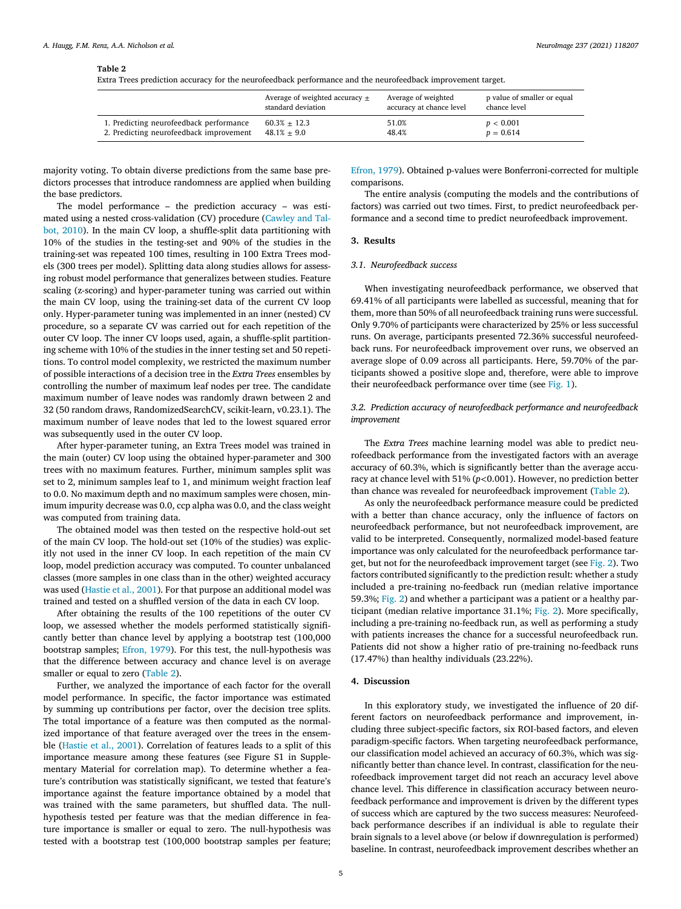## **Table 2**

Extra Trees prediction accuracy for the neurofeedback performance and the neurofeedback improvement target.

|                                         | Average of weighted accuracy $\pm$ | Average of weighted      | p value of smaller or equal |
|-----------------------------------------|------------------------------------|--------------------------|-----------------------------|
|                                         | standard deviation                 | accuracy at chance level | chance level                |
| 1. Predicting neurofeedback performance | $60.3% + 12.3$                     | 51.0%                    | p < 0.001                   |
| 2. Predicting neurofeedback improvement | $48.1\% + 9.0$                     | 48.4%                    | $p = 0.614$                 |

majority voting. To obtain diverse predictions from the same base predictors processes that introduce randomness are applied when building the base predictors.

The model performance – the prediction accuracy – was estimated using a nested [cross-validation](#page-8-0) (CV) procedure (Cawley and Talbot, 2010). In the main CV loop, a shuffle-split data partitioning with 10% of the studies in the testing-set and 90% of the studies in the training-set was repeated 100 times, resulting in 100 Extra Trees models (300 trees per model). Splitting data along studies allows for assessing robust model performance that generalizes between studies. Feature scaling (z-scoring) and hyper-parameter tuning was carried out within the main CV loop, using the training-set data of the current CV loop only. Hyper-parameter tuning was implemented in an inner (nested) CV procedure, so a separate CV was carried out for each repetition of the outer CV loop. The inner CV loops used, again, a shuffle-split partitioning scheme with 10% of the studies in the inner testing set and 50 repetitions. To control model complexity, we restricted the maximum number of possible interactions of a decision tree in the *Extra Trees* ensembles by controlling the number of maximum leaf nodes per tree. The candidate maximum number of leave nodes was randomly drawn between 2 and 32 (50 random draws, RandomizedSearchCV, scikit-learn, v0.23.1). The maximum number of leave nodes that led to the lowest squared error was subsequently used in the outer CV loop.

After hyper-parameter tuning, an Extra Trees model was trained in the main (outer) CV loop using the obtained hyper-parameter and 300 trees with no maximum features. Further, minimum samples split was set to 2, minimum samples leaf to 1, and minimum weight fraction leaf to 0.0. No maximum depth and no maximum samples were chosen, minimum impurity decrease was 0.0, ccp alpha was 0.0, and the class weight was computed from training data.

The obtained model was then tested on the respective hold-out set of the main CV loop. The hold-out set (10% of the studies) was explicitly not used in the inner CV loop. In each repetition of the main CV loop, model prediction accuracy was computed. To counter unbalanced classes (more samples in one class than in the other) weighted accuracy was used [\(Hastie](#page-8-0) et al., 2001). For that purpose an additional model was trained and tested on a shuffled version of the data in each CV loop.

After obtaining the results of the 100 repetitions of the outer CV loop, we assessed whether the models performed statistically significantly better than chance level by applying a bootstrap test (100,000 bootstrap samples; [Efron,](#page-8-0) 1979). For this test, the null-hypothesis was that the difference between accuracy and chance level is on average smaller or equal to zero (Table 2).

Further, we analyzed the importance of each factor for the overall model performance. In specific, the factor importance was estimated by summing up contributions per factor, over the decision tree splits. The total importance of a feature was then computed as the normalized importance of that feature averaged over the trees in the ensemble [\(Hastie](#page-8-0) et al., 2001). Correlation of features leads to a split of this importance measure among these features (see Figure S1 in Supplementary Material for correlation map). To determine whether a feature's contribution was statistically significant, we tested that feature's importance against the feature importance obtained by a model that was trained with the same parameters, but shuffled data. The nullhypothesis tested per feature was that the median difference in feature importance is smaller or equal to zero. The null-hypothesis was tested with a bootstrap test (100,000 bootstrap samples per feature;

[Efron,](#page-8-0) 1979). Obtained p-values were Bonferroni-corrected for multiple comparisons.

The entire analysis (computing the models and the contributions of factors) was carried out two times. First, to predict neurofeedback performance and a second time to predict neurofeedback improvement.

#### **3. Results**

## *3.1. Neurofeedback success*

When investigating neurofeedback performance, we observed that 69.41% of all participants were labelled as successful, meaning that for them, more than 50% of all neurofeedback training runs were successful. Only 9.70% of participants were characterized by 25% or less successful runs. On average, participants presented 72.36% successful neurofeedback runs. For neurofeedback improvement over runs, we observed an average slope of 0.09 across all participants. Here, 59.70% of the participants showed a positive slope and, therefore, were able to improve their neurofeedback performance over time (see [Fig.](#page-5-0) 1).

# *3.2. Prediction accuracy of neurofeedback performance and neurofeedback improvement*

The *Extra Trees* machine learning model was able to predict neurofeedback performance from the investigated factors with an average accuracy of 60.3%, which is significantly better than the average accuracy at chance level with 51% (*p<*0.001). However, no prediction better than chance was revealed for neurofeedback improvement (Table 2).

As only the neurofeedback performance measure could be predicted with a better than chance accuracy, only the influence of factors on neurofeedback performance, but not neurofeedback improvement, are valid to be interpreted. Consequently, normalized model-based feature importance was only calculated for the neurofeedback performance target, but not for the neurofeedback improvement target (see [Fig.](#page-5-0) 2). Two factors contributed significantly to the prediction result: whether a study included a pre-training no-feedback run (median relative importance 59.3%; [Fig.](#page-5-0) 2) and whether a participant was a patient or a healthy participant (median relative importance 31.1%; [Fig.](#page-5-0) 2). More specifically, including a pre-training no-feedback run, as well as performing a study with patients increases the chance for a successful neurofeedback run. Patients did not show a higher ratio of pre-training no-feedback runs (17.47%) than healthy individuals (23.22%).

#### **4. Discussion**

In this exploratory study, we investigated the influence of 20 different factors on neurofeedback performance and improvement, including three subject-specific factors, six ROI-based factors, and eleven paradigm-specific factors. When targeting neurofeedback performance, our classification model achieved an accuracy of 60.3%, which was significantly better than chance level. In contrast, classification for the neurofeedback improvement target did not reach an accuracy level above chance level. This difference in classification accuracy between neurofeedback performance and improvement is driven by the different types of success which are captured by the two success measures: Neurofeedback performance describes if an individual is able to regulate their brain signals to a level above (or below if downregulation is performed) baseline. In contrast, neurofeedback improvement describes whether an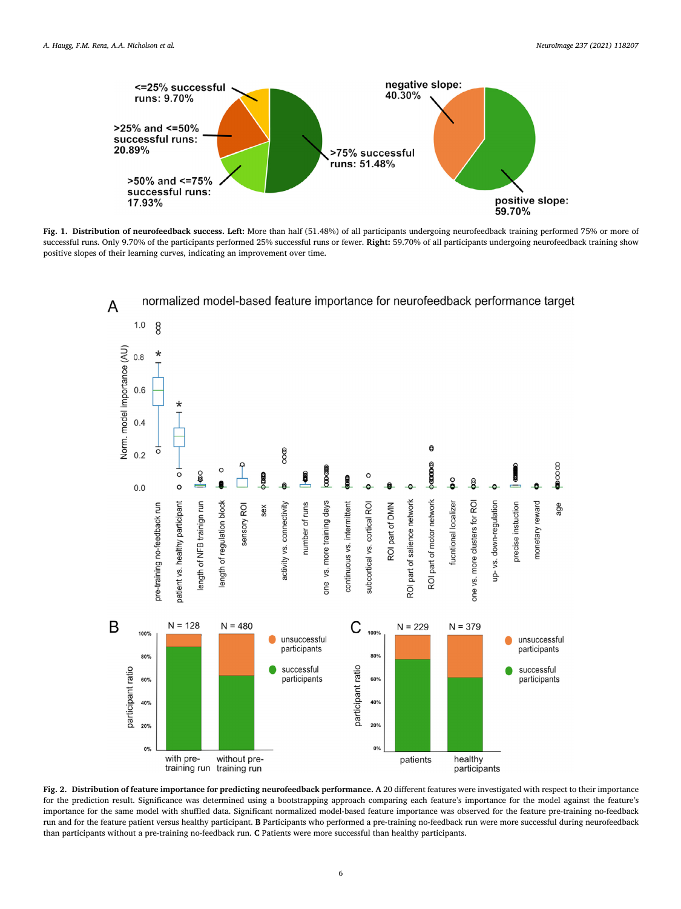<span id="page-5-0"></span>

**Fig. 1. Distribution of neurofeedback success. Left:** More than half (51.48%) of all participants undergoing neurofeedback training performed 75% or more of successful runs. Only 9.70% of the participants performed 25% successful runs or fewer. **Right:** 59.70% of all participants undergoing neurofeedback training show positive slopes of their learning curves, indicating an improvement over time.



Fig. 2. Distribution of feature importance for predicting neurofeedback performance. A 20 different features were investigated with respect to their importance for the prediction result. Significance was determined using a bootstrapping approach comparing each feature's importance for the model against the feature's importance for the same model with shuffled data. Significant normalized model-based feature importance was observed for the feature pre-training no-feedback run and for the feature patient versus healthy participant. **B** Participants who performed a pre-training no-feedback run were more successful during neurofeedback than participants without a pre-training no-feedback run. **C** Patients were more successful than healthy participants.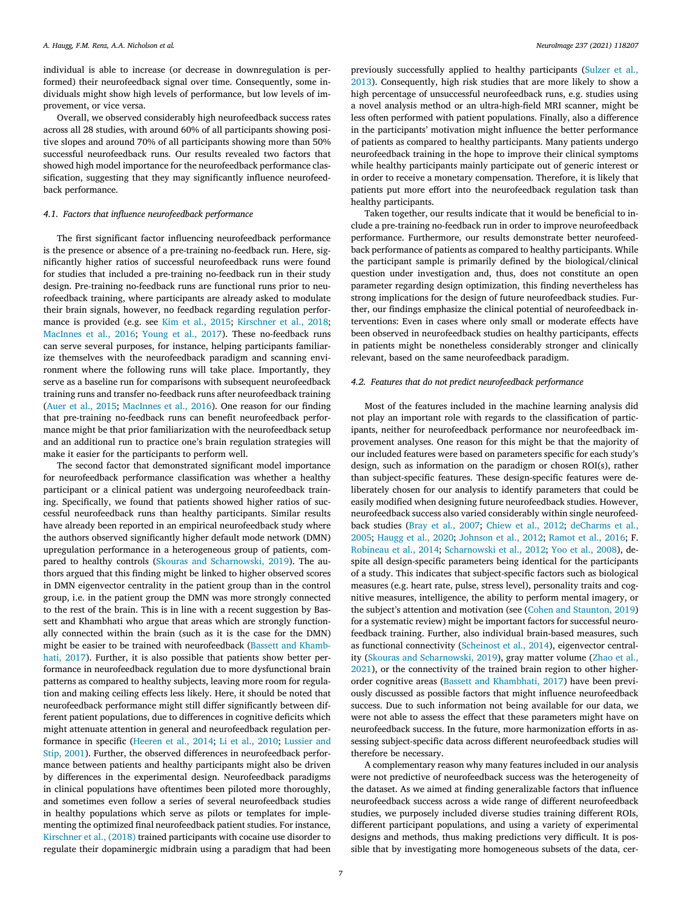individual is able to increase (or decrease in downregulation is performed) their neurofeedback signal over time. Consequently, some individuals might show high levels of performance, but low levels of improvement, or vice versa.

Overall, we observed considerably high neurofeedback success rates across all 28 studies, with around 60% of all participants showing positive slopes and around 70% of all participants showing more than 50% successful neurofeedback runs. Our results revealed two factors that showed high model importance for the neurofeedback performance classification, suggesting that they may significantly influence neurofeedback performance.

#### *4.1. Factors that influence neurofeedback performance*

The first significant factor influencing neurofeedback performance is the presence or absence of a pre-training no-feedback run. Here, significantly higher ratios of successful neurofeedback runs were found for studies that included a pre-training no-feedback run in their study design. Pre-training no-feedback runs are functional runs prior to neurofeedback training, where participants are already asked to modulate their brain signals, however, no feedback regarding regulation performance is provided (e.g. see Kim et al., [2015;](#page-8-0) [Kirschner](#page-8-0) et al., 2018; [MacInnes](#page-9-0) et al., 2016; [Young](#page-9-0) et al., 2017). These no-feedback runs can serve several purposes, for instance, helping participants familiarize themselves with the neurofeedback paradigm and scanning environment where the following runs will take place. Importantly, they serve as a baseline run for comparisons with subsequent neurofeedback training runs and transfer no-feedback runs after neurofeedback training (Auer et al., [2015;](#page-8-0) [MacInnes](#page-9-0) et al., 2016). One reason for our finding that pre-training no-feedback runs can benefit neurofeedback performance might be that prior familiarization with the neurofeedback setup and an additional run to practice one's brain regulation strategies will make it easier for the participants to perform well.

The second factor that demonstrated significant model importance for neurofeedback performance classification was whether a healthy participant or a clinical patient was undergoing neurofeedback training. Specifically, we found that patients showed higher ratios of successful neurofeedback runs than healthy participants. Similar results have already been reported in an empirical neurofeedback study where the authors observed significantly higher default mode network (DMN) upregulation performance in a heterogeneous group of patients, compared to healthy controls (Skouras and [Scharnowski,](#page-9-0) 2019). The authors argued that this finding might be linked to higher observed scores in DMN eigenvector centrality in the patient group than in the control group, i.e. in the patient group the DMN was more strongly connected to the rest of the brain. This is in line with a recent suggestion by Bassett and Khambhati who argue that areas which are strongly functionally connected within the brain (such as it is the case for the DMN) might be easier to be trained with [neurofeedback](#page-8-0) (Bassett and Khambhati, 2017). Further, it is also possible that patients show better performance in neurofeedback regulation due to more dysfunctional brain patterns as compared to healthy subjects, leaving more room for regulation and making ceiling effects less likely. Here, it should be noted that neurofeedback performance might still differ significantly between different patient populations, due to differences in cognitive deficits which might attenuate attention in general and neurofeedback regulation performance in specific [\(Heeren](#page-8-0) et al., 2014; Li et al., [2010;](#page-8-0) Lussier and Stip, 2001). Further, the observed differences in [neurofeedback](#page-9-0) performance between patients and healthy participants might also be driven by differences in the experimental design. Neurofeedback paradigms in clinical populations have oftentimes been piloted more thoroughly, and sometimes even follow a series of several neurofeedback studies in healthy populations which serve as pilots or templates for implementing the optimized final neurofeedback patient studies. For instance, [Kirschner](#page-8-0) et al., (2018) trained participants with cocaine use disorder to regulate their dopaminergic midbrain using a paradigm that had been previously successfully applied to healthy participants (Sulzer et al., 2013). [Consequently,](#page-9-0) high risk studies that are more likely to show a high percentage of unsuccessful neurofeedback runs, e.g. studies using a novel analysis method or an ultra-high-field MRI scanner, might be less often performed with patient populations. Finally, also a difference in the participants' motivation might influence the better performance of patients as compared to healthy participants. Many patients undergo neurofeedback training in the hope to improve their clinical symptoms while healthy participants mainly participate out of generic interest or in order to receive a monetary compensation. Therefore, it is likely that patients put more effort into the neurofeedback regulation task than healthy participants.

Taken together, our results indicate that it would be beneficial to include a pre-training no-feedback run in order to improve neurofeedback performance. Furthermore, our results demonstrate better neurofeedback performance of patients as compared to healthy participants. While the participant sample is primarily defined by the biological/clinical question under investigation and, thus, does not constitute an open parameter regarding design optimization, this finding nevertheless has strong implications for the design of future neurofeedback studies. Further, our findings emphasize the clinical potential of neurofeedback interventions: Even in cases where only small or moderate effects have been observed in neurofeedback studies on healthy participants, effects in patients might be nonetheless considerably stronger and clinically relevant, based on the same neurofeedback paradigm.

## *4.2. Features that do not predict neurofeedback performance*

Most of the features included in the machine learning analysis did not play an important role with regards to the classification of participants, neither for neurofeedback performance nor neurofeedback improvement analyses. One reason for this might be that the majority of our included features were based on parameters specific for each study's design, such as information on the paradigm or chosen ROI(s), rather than subject-specific features. These design-specific features were deliberately chosen for our analysis to identify parameters that could be easily modified when designing future neurofeedback studies. However, neurofeedback success also varied considerably within single neurofeedback studies (Bray et al., [2007;](#page-8-0) [Chiew](#page-8-0) et al., 2012; [deCharms](#page-8-0) et al., 2005; [Haugg](#page-8-0) et al., 2020; [Johnson](#page-8-0) et al., 2012; [Ramot](#page-9-0) et al., 2016; F. [Robineau](#page-9-0) et al., 2014; [Scharnowski](#page-9-0) et al., 2012; Yoo et al., [2008\)](#page-9-0), despite all design-specific parameters being identical for the participants of a study. This indicates that subject-specific factors such as biological measures (e.g. heart rate, pulse, stress level), personality traits and cognitive measures, intelligence, the ability to perform mental imagery, or the subject's attention and motivation (see (Cohen and [Staunton,](#page-8-0) 2019) for a systematic review) might be important factors for successful neurofeedback training. Further, also individual brain-based measures, such as functional connectivity [\(Scheinost](#page-9-0) et al., 2014), eigenvector centrality (Skouras and [Scharnowski,](#page-9-0) 2019), gray matter volume (Zhao et al., 2021), or the connectivity of the trained brain region to other higherorder cognitive areas (Bassett and [Khambhati,](#page-8-0) 2017) have been previously discussed as possible factors that might influence neurofeedback success. Due to such information not being available for our data, we were not able to assess the effect that these parameters might have on neurofeedback success. In the future, more harmonization efforts in assessing subject-specific data across different neurofeedback studies will therefore be necessary.

A complementary reason why many features included in our analysis were not predictive of neurofeedback success was the heterogeneity of the dataset. As we aimed at finding generalizable factors that influence neurofeedback success across a wide range of different neurofeedback studies, we purposely included diverse studies training different ROIs, different participant populations, and using a variety of experimental designs and methods, thus making predictions very difficult. It is possible that by investigating more homogeneous subsets of the data, cer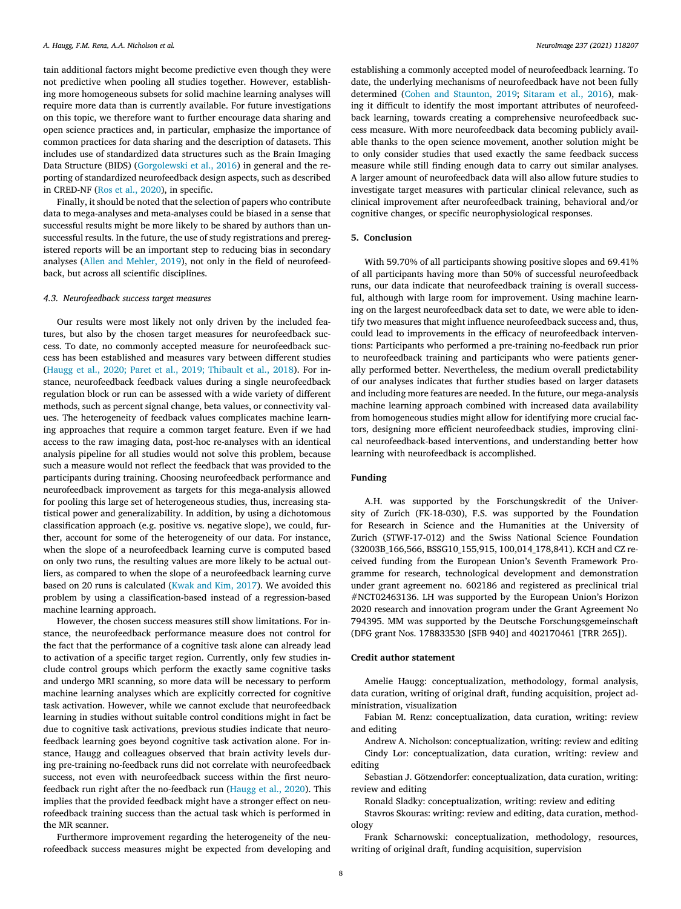tain additional factors might become predictive even though they were not predictive when pooling all studies together. However, establishing more homogeneous subsets for solid machine learning analyses will require more data than is currently available. For future investigations on this topic, we therefore want to further encourage data sharing and open science practices and, in particular, emphasize the importance of common practices for data sharing and the description of datasets. This includes use of standardized data structures such as the Brain Imaging Data Structure (BIDS) [\(Gorgolewski](#page-8-0) et al., 2016) in general and the reporting of standardized neurofeedback design aspects, such as described in CRED-NF (Ros et al., [2020\)](#page-9-0), in specific.

Finally, it should be noted that the selection of papers who contribute data to mega-analyses and meta-analyses could be biased in a sense that successful results might be more likely to be shared by authors than unsuccessful results. In the future, the use of study registrations and preregistered reports will be an important step to reducing bias in secondary analyses (Allen and [Mehler,](#page-8-0) 2019), not only in the field of neurofeedback, but across all scientific disciplines.

#### *4.3. Neurofeedback success target measures*

Our results were most likely not only driven by the included features, but also by the chosen target measures for neurofeedback success. To date, no commonly accepted measure for neurofeedback success has been established and measures vary between different studies (Haugg et al., 2020; Paret et al., 2019; [Thibault](#page-8-0) et al., 2018). For instance, neurofeedback feedback values during a single neurofeedback regulation block or run can be assessed with a wide variety of different methods, such as percent signal change, beta values, or connectivity values. The heterogeneity of feedback values complicates machine learning approaches that require a common target feature. Even if we had access to the raw imaging data, post-hoc re-analyses with an identical analysis pipeline for all studies would not solve this problem, because such a measure would not reflect the feedback that was provided to the participants during training. Choosing neurofeedback performance and neurofeedback improvement as targets for this mega-analysis allowed for pooling this large set of heterogeneous studies, thus, increasing statistical power and generalizability. In addition, by using a dichotomous classification approach (e.g. positive vs. negative slope), we could, further, account for some of the heterogeneity of our data. For instance, when the slope of a neurofeedback learning curve is computed based on only two runs, the resulting values are more likely to be actual outliers, as compared to when the slope of a neurofeedback learning curve based on 20 runs is calculated [\(Kwak](#page-8-0) and Kim, 2017). We avoided this problem by using a classification-based instead of a regression-based machine learning approach.

However, the chosen success measures still show limitations. For instance, the neurofeedback performance measure does not control for the fact that the performance of a cognitive task alone can already lead to activation of a specific target region. Currently, only few studies include control groups which perform the exactly same cognitive tasks and undergo MRI scanning, so more data will be necessary to perform machine learning analyses which are explicitly corrected for cognitive task activation. However, while we cannot exclude that neurofeedback learning in studies without suitable control conditions might in fact be due to cognitive task activations, previous studies indicate that neurofeedback learning goes beyond cognitive task activation alone. For instance, Haugg and colleagues observed that brain activity levels during pre-training no-feedback runs did not correlate with neurofeedback success, not even with neurofeedback success within the first neurofeedback run right after the no-feedback run [\(Haugg](#page-8-0) et al., 2020). This implies that the provided feedback might have a stronger effect on neurofeedback training success than the actual task which is performed in the MR scanner.

Furthermore improvement regarding the heterogeneity of the neurofeedback success measures might be expected from developing and establishing a commonly accepted model of neurofeedback learning. To date, the underlying mechanisms of neurofeedback have not been fully determined (Cohen and [Staunton,](#page-8-0) 2019; [Sitaram](#page-9-0) et al., 2016), making it difficult to identify the most important attributes of neurofeedback learning, towards creating a comprehensive neurofeedback success measure. With more neurofeedback data becoming publicly available thanks to the open science movement, another solution might be to only consider studies that used exactly the same feedback success measure while still finding enough data to carry out similar analyses. A larger amount of neurofeedback data will also allow future studies to investigate target measures with particular clinical relevance, such as clinical improvement after neurofeedback training, behavioral and/or cognitive changes, or specific neurophysiological responses.

## **5. Conclusion**

With 59.70% of all participants showing positive slopes and 69.41% of all participants having more than 50% of successful neurofeedback runs, our data indicate that neurofeedback training is overall successful, although with large room for improvement. Using machine learning on the largest neurofeedback data set to date, we were able to identify two measures that might influence neurofeedback success and, thus, could lead to improvements in the efficacy of neurofeedback interventions: Participants who performed a pre-training no-feedback run prior to neurofeedback training and participants who were patients generally performed better. Nevertheless, the medium overall predictability of our analyses indicates that further studies based on larger datasets and including more features are needed. In the future, our mega-analysis machine learning approach combined with increased data availability from homogeneous studies might allow for identifying more crucial factors, designing more efficient neurofeedback studies, improving clinical neurofeedback-based interventions, and understanding better how learning with neurofeedback is accomplished.

#### **Funding**

A.H. was supported by the Forschungskredit of the University of Zurich (FK‐18‐030), F.S. was supported by the Foundation for Research in Science and the Humanities at the University of Zurich (STWF‐17‐012) and the Swiss National Science Foundation (32003B\_166,566, BSSG10\_155,915, 100,014\_178,841). KCH and CZ received funding from the European Union's Seventh Framework Programme for research, technological development and demonstration under grant agreement no. 602186 and registered as preclinical trial #NCT02463136. LH was supported by the European Union's Horizon 2020 research and innovation program under the Grant Agreement No 794395. MM was supported by the Deutsche Forschungsgemeinschaft (DFG grant Nos. 178833530 [SFB 940] and 402170461 [TRR 265]).

## **Credit author statement**

Amelie Haugg: conceptualization, methodology, formal analysis, data curation, writing of original draft, funding acquisition, project administration, visualization

Fabian M. Renz: conceptualization, data curation, writing: review and editing

Andrew A. Nicholson: conceptualization, writing: review and editing Cindy Lor: conceptualization, data curation, writing: review and editing

Sebastian J. Götzendorfer: conceptualization, data curation, writing: review and editing

Ronald Sladky: conceptualization, writing: review and editing

Stavros Skouras: writing: review and editing, data curation, methodology

Frank Scharnowski: conceptualization, methodology, resources, writing of original draft, funding acquisition, supervision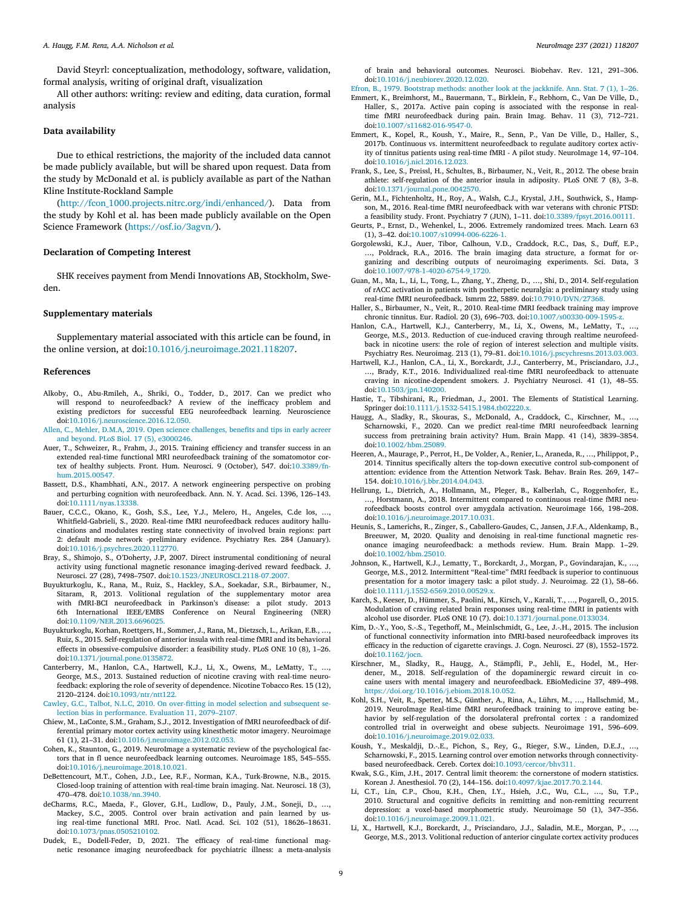<span id="page-8-0"></span>David Steyrl: conceptualization, methodology, software, validation, formal analysis, writing of original draft, visualization

All other authors: writing: review and editing, data curation, formal analysis

## **Data availability**

Due to ethical restrictions, the majority of the included data cannot be made publicly available, but will be shared upon request. Data from the study by McDonald et al. is publicly available as part of the Nathan Kline Institute-Rockland Sample

[\(http://fcon\\_1000.projects.nitrc.org/indi/enhanced/\)](http://fcon_1000.projects.nitrc.org/indi/enhanced/). Data from the study by Kohl et al. has been made publicly available on the Open Science Framework [\(https://osf.io/3agvn/\)](https://osf.io/3agvn/).

## **Declaration of Competing Interest**

SHK receives payment from Mendi Innovations AB, Stockholm, Sweden.

#### **Supplementary materials**

Supplementary material associated with this article can be found, in the online version, at doi[:10.1016/j.neuroimage.2021.118207.](https://doi.org/10.1016/j.neuroimage.2021.118207)

#### **References**

- Alkoby, O., Abu-Rmileh, A., Shriki, O., Todder, D., 2017. Can we predict who will respond to neurofeedback? A review of the inefficacy problem and existing predictors for successful EEG neurofeedback learning. Neuroscience doi[:10.1016/j.neuroscience.2016.12.050.](https://doi.org/10.1016/j.neuroscience.2016.12.050)
- [Allen,](http://refhub.elsevier.com/S1053-8119(21)00484-5/sbref0002) C., [Mehler,](http://refhub.elsevier.com/S1053-8119(21)00484-5/sbref0002) D.M.A, 2019. Open science [challenges,](http://refhub.elsevier.com/S1053-8119(21)00484-5/sbref0002) benefits and tips in early acreer and beyond. PLoS Biol. 17 (5), e3000246.
- Auer, T., Schweizer, R., Frahm, J., 2015. Training efficiency and transfer success in an extended real-time functional MRI neurofeedback training of the somatomotor cortex of healthy subjects. Front. Hum. Neurosci. 9 (October), 547. doi:10.3389/fn[hum.2015.00547.](https://doi.org/10.3389/fnhum.2015.00547)
- Bassett, D.S., Khambhati, A.N., 2017. A network engineering perspective on probing and perturbing cognition with neurofeedback. Ann. N. Y. Acad. Sci. 1396, 126–143. doi[:10.1111/nyas.13338.](https://doi.org/10.1111/nyas.13338)
- Bauer, C.C.C., Okano, K., Gosh, S.S., Lee, Y.J., Melero, H., Angeles, C.de los, Whitfield-Gabrieli, S., 2020. Real-time fMRI neurofeedback reduces auditory hallucinations and modulates resting state connectivity of involved brain regions: part 2: default mode network -preliminary evidence. Psychiatry Res. 284 (January). doi[:10.1016/j.psychres.2020.112770.](https://doi.org/10.1016/j.psychres.2020.112770)
- Bray, S., Shimojo, S., O'Doherty, J.P, 2007. Direct instrumental conditioning of neural activity using functional magnetic resonance imaging-derived reward feedback. J. Neurosci. 27 (28), 7498–7507. doi[:10.1523/JNEUROSCI.2118-07.2007.](https://doi.org/10.1523/JNEUROSCI.2118-07.2007)
- Buyukturkoglu, K., Rana, M., Ruiz, S., Hackley, S.A., Soekadar, S.R., Birbaumer, N., Sitaram, R, 2013. Volitional regulation of the supplementary motor area with fMRI-BCI neurofeedback in Parkinson's disease: a pilot study. 2013 6th International IEEE/EMBS Conference on Neural Engineering (NER) doi[:10.1109/NER.2013.6696025.](https://doi.org/10.1109/NER.2013.6696025)
- Buyukturkoglu, Korhan, Roettgers, H., Sommer, J., Rana, M., Dietzsch, L., Arikan, E.B., …, Ruiz, S., 2015. Self-regulation of anterior insula with real-time fMRI and its behavioral effects in obsessive-compulsive disorder: a feasibility study. PLoS ONE 10 (8), 1–26. doi[:10.1371/journal.pone.0135872.](https://doi.org/10.1371/journal.pone.0135872)
- Canterberry, M., Hanlon, C.A., Hartwell, K.J., Li, X., Owens, M., LeMatty, T., …, George, M.S., 2013. Sustained reduction of nicotine craving with real-time neurofeedback: exploring the role of severity of dependence. Nicotine Tobacco Res. 15 (12), 2120–2124. doi[:10.1093/ntr/ntt122.](https://doi.org/10.1093/ntr/ntt122)

[Cawley,](http://refhub.elsevier.com/S1053-8119(21)00484-5/sbref0010) G.C., [Talbot,](http://refhub.elsevier.com/S1053-8119(21)00484-5/sbref0010) N.L.C, 2010. On over-fitting in model selection and subsequent selection bias in [performance.](http://refhub.elsevier.com/S1053-8119(21)00484-5/sbref0010) Evaluation 11, 2079–2107.

- Chiew, M., LaConte, S.M., Graham, S.J., 2012. Investigation of fMRI neurofeedback of differential primary motor cortex activity using kinesthetic motor imagery. Neuroimage 61 (1), 21–31. doi[:10.1016/j.neuroimage.2012.02.053.](https://doi.org/10.1016/j.neuroimage.2012.02.053)
- Cohen, K., Staunton, G., 2019. NeuroImage a systematic review of the psychological factors that in fl uence neurofeedback learning outcomes. Neuroimage 185, 545–555. doi[:10.1016/j.neuroimage.2018.10.021.](https://doi.org/10.1016/j.neuroimage.2018.10.021)
- DeBettencourt, M.T., Cohen, J.D., Lee, R.F., Norman, K.A., Turk-Browne, N.B., 2015. Closed-loop training of attention with real-time brain imaging. Nat. Neurosci. 18 (3), 470–478. doi[:10.1038/nn.3940.](https://doi.org/10.1038/nn.3940)
- deCharms, R.C., Maeda, F., Glover, G.H., Ludlow, D., Pauly, J.M., Soneji, D., …, Mackey, S.C., 2005. Control over brain activation and pain learned by using real-time functional MRI. Proc. Natl. Acad. Sci. 102 (51), 18626–18631. doi[:10.1073/pnas.0505210102.](https://doi.org/10.1073/pnas.0505210102)
- Dudek, E., Dodell-Feder, D, 2021. The efficacy of real-time functional magnetic resonance imaging neurofeedback for psychiatric illness: a meta-analysis

of brain and behavioral outcomes. Neurosci. Biobehav. Rev. 121, 291–306. doi[:10.1016/j.neubiorev.2020.12.020.](https://doi.org/10.1016/j.neubiorev.2020.12.020)

- [Efron,](http://refhub.elsevier.com/S1053-8119(21)00484-5/sbref0016) B., 1979. Bootstrap methods: another look at the [jackknife.](http://refhub.elsevier.com/S1053-8119(21)00484-5/sbref0016) Ann. Stat. 7 (1), 1–26.
- Emmert, K., Breimhorst, M., Bauermann, T., Birklein, F., Rebhorn, C., Van De Ville, D., Haller, S., 2017a. Active pain coping is associated with the response in realtime fMRI neurofeedback during pain. Brain Imag. Behav. 11 (3), 712–721. doi[:10.1007/s11682-016-9547-0.](https://doi.org/10.1007/s11682-016-9547-0)
- Emmert, K., Kopel, R., Koush, Y., Maire, R., Senn, P., Van De Ville, D., Haller, S., 2017b. Continuous vs. intermittent neurofeedback to regulate auditory cortex activity of tinnitus patients using real-time fMRI - A pilot study. NeuroImage 14, 97–104. doi[:10.1016/j.nicl.2016.12.023.](https://doi.org/10.1016/j.nicl.2016.12.023)
- Frank, S., Lee, S., Preissl, H., Schultes, B., Birbaumer, N., Veit, R., 2012. The obese brain athlete: self-regulation of the anterior insula in adiposity. PLoS ONE 7 (8), 3–8. doi[:10.1371/journal.pone.0042570.](https://doi.org/10.1371/journal.pone.0042570)
- Gerin, M.I., Fichtenholtz, H., Roy, A., Walsh, C.J., Krystal, J.H., Southwick, S., Hampson, M., 2016. Real-time fMRI neurofeedback with war veterans with chronic PTSD: a feasibility study. Front. Psychiatry 7 (JUN), 1–11. doi[:10.3389/fpsyt.2016.00111.](https://doi.org/10.3389/fpsyt.2016.00111)
- Geurts, P., Ernst, D., Wehenkel, L., 2006. Extremely randomized trees. Mach. Learn 63 (1), 3–42. doi[:10.1007/s10994-006-6226-1.](https://doi.org/10.1007/s10994-006-6226-1)
- Gorgolewski, K.J., Auer, Tibor, Calhoun, V.D., Craddock, R.C., Das, S., Duff, E.P., …, Poldrack, R.A., 2016. The brain imaging data structure, a format for organizing and describing outputs of neuroimaging experiments. Sci. Data, 3 doi[:10.1007/978-1-4020-6754-9\\_1720.](https://doi.org/10.1007/978-1-4020-6754-9_1720)
- Guan, M., Ma, L., Li, L., Tong, L., Zhang, Y., Zheng, D., …, Shi, D., 2014. Self-regulation of rACC activation in patients with postherpetic neuralgia: a preliminary study using real-time fMRI neurofeedback. Ismrm 22, 5889. doi[:10.7910/DVN/27368.](https://doi.org/10.7910/DVN/27368)
- Haller, S., Birbaumer, N., Veit, R., 2010. Real-time fMRI feedback training may improve chronic tinnitus. Eur. Radiol. 20 (3), 696–703. doi[:10.1007/s00330-009-1595-z.](https://doi.org/10.1007/s00330-009-1595-z)
- Hanlon, C.A., Hartwell, K.J., Canterberry, M., Li, X., Owens, M., LeMatty, T., George, M.S., 2013. Reduction of cue-induced craving through realtime neurofeedback in nicotine users: the role of region of interest selection and multiple visits. Psychiatry Res. Neuroimag. 213 (1), 79–81. doi[:10.1016/j.pscychresns.2013.03.003.](https://doi.org/10.1016/j.pscychresns.2013.03.003)
- Hartwell, K.J., Hanlon, C.A., Li, X., Borckardt, J.J., Canterberry, M., Prisciandaro, J.J., …, Brady, K.T., 2016. Individualized real-time fMRI neurofeedback to attenuate craving in nicotine-dependent smokers. J. Psychiatry Neurosci. 41 (1), 48–55. doi[:10.1503/jpn.140200.](https://doi.org/10.1503/jpn.140200)
- Hastie, T., Tibshirani, R., Friedman, J., 2001. The Elements of Statistical Learning. Springer doi[:10.1111/j.1532-5415.1984.tb02220.x.](https://doi.org/10.1111/j.1532-5415.1984.tb02220.x)
- Haugg, A., Sladky, R., Skouras, S., McDonald, A., Craddock, C., Kirschner, M., …, Scharnowski, F., 2020. Can we predict real-time fMRI neurofeedback learning success from pretraining brain activity? Hum. Brain Mapp. 41 (14), 3839–3854. doi[:10.1002/hbm.25089.](https://doi.org/10.1002/hbm.25089)
- Heeren, A., Maurage, P., Perrot, H., De Volder, A., Renier, L., Araneda, R., …, Philippot, P., 2014. Tinnitus specifically alters the top-down executive control sub-component of attention: evidence from the Attention Network Task. Behav. Brain Res. 269, 147– 154. doi[:10.1016/j.bbr.2014.04.043.](https://doi.org/10.1016/j.bbr.2014.04.043)
- Hellrung, L., Dietrich, A., Hollmann, M., Pleger, B., Kalberlah, C., Roggenhofer, E., …, Horstmann, A., 2018. Intermittent compared to continuous real-time fMRI neurofeedback boosts control over amygdala activation. Neuroimage 166, 198–208. doi[:10.1016/j.neuroimage.2017.10.031.](https://doi.org/10.1016/j.neuroimage.2017.10.031)
- Heunis, S., Lamerichs, R., Zinger, S., Caballero-Gaudes, C., Jansen, J.F.A., Aldenkamp, B., Breeuwer, M, 2020. Quality and denoising in real-time functional magnetic resonance imaging neurofeedback: a methods review. Hum. Brain Mapp. 1–29. doi[:10.1002/hbm.25010.](https://doi.org/10.1002/hbm.25010)
- Johnson, K., Hartwell, K.J., Lematty, T., Borckardt, J., Morgan, P., Govindarajan, K., …, George, M.S., 2012. Intermittent "Real-time" fMRI feedback is superior to continuous presentation for a motor imagery task: a pilot study. J. Neuroimag. 22 (1), 58–66. doi[:10.1111/j.1552-6569.2010.00529.x.](https://doi.org/10.1111/j.1552-6569.2010.00529.x)
- Karch, S., Keeser, D., Hümmer, S., Paolini, M., Kirsch, V., Karali, T., …, Pogarell, O., 2015. Modulation of craving related brain responses using real-time fMRI in patients with alcohol use disorder. PLoS ONE 10 (7). doi[:10.1371/journal.pone.0133034.](https://doi.org/10.1371/journal.pone.0133034)
- Kim, D.-.Y., Yoo, S.-.S., Tegethoff, M., Meinlschmidt, G., Lee, J.-.H., 2015. The inclusion of functional connectivity information into fMRI-based neurofeedback improves its efficacy in the reduction of cigarette cravings. J. Cogn. Neurosci. 27 (8), 1552–1572. doi[:10.1162/jocn.](https://doi.org/10.1162/jocn)
- Kirschner, M., Sladky, R., Haugg, A., Stämpfli, P., Jehli, E., Hodel, M., Herdener, M., 2018. Self-regulation of the dopaminergic reward circuit in cocaine users with mental imagery and neurofeedback. EBioMedicine 37, 489–498. [https://doi.org/10.1016/j.ebiom.2018.10.052.](https://doi.org/10.1016/j.ebiom.2018.10.052)
- Kohl, S.H., Veit, R., Spetter, M.S., Günther, A., Rina, A., Lührs, M., …, Hallschmid, M., 2019. NeuroImage Real-time fMRI neurofeedback training to improve eating behavior by self-regulation of the dorsolateral prefrontal cortex : a randomized controlled trial in overweight and obese subjects. Neuroimage 191, 596–609. doi[:10.1016/j.neuroimage.2019.02.033.](https://doi.org/10.1016/j.neuroimage.2019.02.033)
- Koush, Y., Meskaldji, D.-.E., Pichon, S., Rey, G., Rieger, S.W., Linden, D.E.J., …, Scharnowski, F., 2015. Learning control over emotion networks through connectivitybased neurofeedback. Cereb. Cortex doi[:10.1093/cercor/bhv311.](https://doi.org/10.1093/cercor/bhv311)
- Kwak, S.G., Kim, J.H., 2017. Central limit theorem: the cornerstone of modern statistics. Korean J. Anesthesiol. 70 (2), 144–156. doi[:10.4097/kjae.2017.70.2.144.](https://doi.org/10.4097/kjae.2017.70.2.144)
- Li, C.T., Lin, C.P., Chou, K.H., Chen, I.Y., Hsieh, J.C., Wu, C.L., …, Su, T.P., 2010. Structural and cognitive deficits in remitting and non-remitting recurrent depression: a voxel-based morphometric study. Neuroimage 50 (1), 347–356. doi[:10.1016/j.neuroimage.2009.11.021.](https://doi.org/10.1016/j.neuroimage.2009.11.021)
- Li, X., Hartwell, K.J., Borckardt, J., Prisciandaro, J.J., Saladin, M.E., Morgan, P., …, George, M.S., 2013. Volitional reduction of anterior cingulate cortex activity produces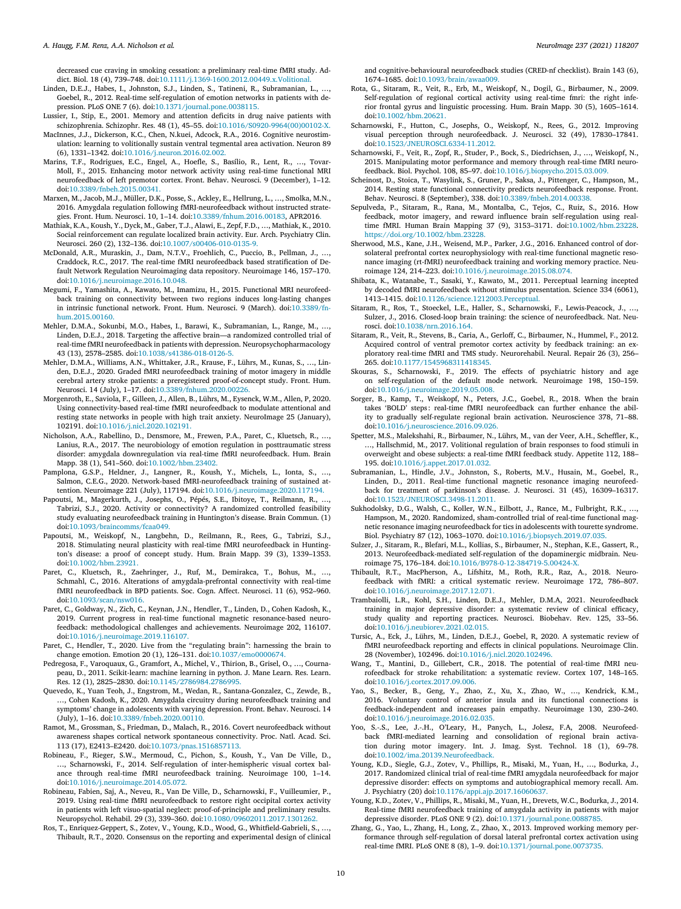<span id="page-9-0"></span>decreased cue craving in smoking cessation: a preliminary real-time fMRI study. Ad-dict. Biol. 18 (4), 739–748. doi[:10.1111/j.1369-1600.2012.00449.x.Volitional.](https://doi.org/10.1111/j.1369-1600.2012.00449.x.Volitional)

- Linden, D.E.J., Habes, L., Johnston, S.J., Linden, S., Tatineni, R., Subramanian, L. Goebel, R., 2012. Real-time self-regulation of emotion networks in patients with depression. PLoS ONE 7 (6). doi[:10.1371/journal.pone.0038115.](https://doi.org/10.1371/journal.pone.0038115)
- Lussier, I., Stip, E., 2001. Memory and attention deficits in drug naive patients with schizophrenia. Schizophr. Res. 48 (1), 45–55. doi[:10.1016/S0920-9964\(00\)00102-X.](https://doi.org/10.1016/S0920-9964(00)00102-X)
- MacInnes, J.J., Dickerson, K.C., Chen, N.kuei, Adcock, R.A., 2016. Cognitive neurostimulation: learning to volitionally sustain ventral tegmental area activation. Neuron 89 (6), 1331–1342. doi[:10.1016/j.neuron.2016.02.002.](https://doi.org/10.1016/j.neuron.2016.02.002)
- Marins, T.F., Rodrigues, E.C., Engel, A., Hoefle, S., Basílio, R., Lent, R., …, Tovar-Moll, F., 2015. Enhancing motor network activity using real-time functional MRI neurofeedback of left premotor cortex. Front. Behav. Neurosci. 9 (December), 1–12. doi[:10.3389/fnbeh.2015.00341.](https://doi.org/10.3389/fnbeh.2015.00341)
- Marxen, M., Jacob, M.J., Müller, D.K., Posse, S., Ackley, E., Hellrung, L., …, Smolka, M.N., 2016. Amygdala regulation following fMRI-neurofeedback without instructed strategies. Front. Hum. Neurosci. 10, 1–14. doi[:10.3389/fnhum.2016.00183,](https://doi.org/10.3389/fnhum.2016.00183) APR2016.
- Mathiak, K.A., Koush, Y., Dyck, M., Gaber, T.J., Alawi, E., Zepf, F.D., …, Mathiak, K., 2010. Social reinforcement can regulate localized brain activity. Eur. Arch. Psychiatry Clin. Neurosci. 260 (2), 132–136. doi[:10.1007/s00406-010-0135-9.](https://doi.org/10.1007/s00406-010-0135-9)
- McDonald, A.R., Muraskin, J., Dam, N.T.V., Froehlich, C., Puccio, B., Pellman, J., Craddock, R.C., 2017. The real-time fMRI neurofeedback based stratification of Default Network Regulation Neuroimaging data repository. Neuroimage 146, 157–170. doi[:10.1016/j.neuroimage.2016.10.048.](https://doi.org/10.1016/j.neuroimage.2016.10.048)
- Megumi, F., Yamashita, A., Kawato, M., Imamizu, H., 2015. Functional MRI neurofeedback training on connectivity between two regions induces long-lasting changes in intrinsic functional network. Front. Hum. Neurosci. 9 (March). doi:10.3389/fn[hum.2015.00160.](https://doi.org/10.3389/fnhum.2015.00160)
- Mehler, D.M.A., Sokunbi, M.O., Habes, I., Barawi, K., Subramanian, L., Range, M., Linden, D.E.J., 2018. Targeting the affective brain—a randomized controlled trial of real-time fMRI neurofeedback in patients with depression. Neuropsychopharmacology 43 (13), 2578–2585. doi[:10.1038/s41386-018-0126-5.](https://doi.org/10.1038/s41386-018-0126-5)
- Mehler, D.M.A., Williams, A.N., Whittaker, J.R., Krause, F., Lührs, M., Kunas, S., …, Linden, D.E.J., 2020. Graded fMRI neurofeedback training of motor imagery in middle cerebral artery stroke patients: a preregistered proof-of-concept study. Front. Hum. Neurosci. 14 (July), 1–17. doi[:10.3389/fnhum.2020.00226.](https://doi.org/10.3389/fnhum.2020.00226)
- Morgenroth, E., Saviola, F., Gilleen, J., Allen, B., Lührs, M., Eysenck, W.M., Allen, P, 2020. Using connectivity-based real-time fMRI neurofeedback to modulate attentional and resting state networks in people with high trait anxiety. NeuroImage 25 (January), 102191. doi[:10.1016/j.nicl.2020.102191.](https://doi.org/10.1016/j.nicl.2020.102191)
- Nicholson, A.A., Rabellino, D., Densmore, M., Frewen, P.A., Paret, C., Kluetsch, R., …, Lanius, R.A., 2017. The neurobiology of emotion regulation in posttraumatic stress disorder: amygdala downregulation via real-time fMRI neurofeedback. Hum. Brain Mapp. 38 (1), 541-560. doi[:10.1002/hbm.23402.](https://doi.org/10.1002/hbm.23402)
- Pamplona, G.S.P., Heldner, J., Langner, R., Koush, Y., Michels, L., Ionta, S., …, Salmon, C.E.G., 2020. Network-based fMRI-neurofeedback training of sustained attention. Neuroimage 221 (July), 117194. doi[:10.1016/j.neuroimage.2020.117194.](https://doi.org/10.1016/j.neuroimage.2020.117194)
- Papoutsi, M., Magerkurth, J., Josephs, O., Pépés, S.E., Ibitoye, T., Reilmann, R., …, Tabrizi, S.J., 2020. Activity or connectivity? A randomized controlled feasibility study evaluating neurofeedback training in Huntington's disease. Brain Commun. (1) doi[:10.1093/braincomms/fcaa049.](https://doi.org/10.1093/braincomms/fcaa049)
- Papoutsi, M., Weiskopf, N., Langbehn, D., Reilmann, R., Rees, G., Tabrizi, S.J., 2018. Stimulating neural plasticity with real-time fMRI neurofeedback in Huntington's disease: a proof of concept study. Hum. Brain Mapp. 39 (3), 1339–1353. doi[:10.1002/hbm.23921.](https://doi.org/10.1002/hbm.23921)
- Paret, C., Kluetsch, R., Zaehringer, J., Ruf, M., Demirakca, T., Bohus, M., …, Schmahl, C., 2016. Alterations of amygdala-prefrontal connectivity with real-time fMRI neurofeedback in BPD patients. Soc. Cogn. Affect. Neurosci. 11 (6), 952–960. doi[:10.1093/scan/nsw016.](https://doi.org/10.1093/scan/nsw016)
- Paret, C., Goldway, N., Zich, C., Keynan, J.N., Hendler, T., Linden, D., Cohen Kadosh, K., 2019. Current progress in real-time functional magnetic resonance-based neurofeedback: methodological challenges and achievements. Neuroimage 202, 116107. doi[:10.1016/j.neuroimage.2019.116107.](https://doi.org/10.1016/j.neuroimage.2019.116107)
- Paret, C., Hendler, T., 2020. Live from the "regulating brain": harnessing the brain to change emotion. Emotion 20 (1), 126–131. doi[:10.1037/emo0000674.](https://doi.org/10.1037/emo0000674)
- Pedregosa, F., Varoquaux, G., Gramfort, A., Michel, V., Thirion, B., Grisel, O., …, Cournapeau, D., 2011. Scikit-learn: machine learning in python. J. Mane Learn. Res. Learn. Res. 12 (1), 2825–2830. doi[:10.1145/2786984.2786995.](https://doi.org/10.1145/2786984.2786995)
- Quevedo, K., Yuan Teoh, J., Engstrom, M., Wedan, R., Santana-Gonzalez, C., Zewde, B., …, Cohen Kadosh, K., 2020. Amygdala circuitry during neurofeedback training and symptoms' change in adolescents with varying depression. Front. Behav. Neurosci. 14 (July), 1–16. doi[:10.3389/fnbeh.2020.00110.](https://doi.org/10.3389/fnbeh.2020.00110)
- Ramot, M., Grossman, S., Friedman, D., Malach, R., 2016. Covert neurofeedback without awareness shapes cortical network spontaneous connectivity. Proc. Natl. Acad. Sci. 113 (17), E2413–E2420. doi[:10.1073/pnas.1516857113.](https://doi.org/10.1073/pnas.1516857113)
- Robineau, F., Rieger, S.W., Mermoud, C., Pichon, S., Koush, Y., Van De Ville, D., …, Scharnowski, F., 2014. Self-regulation of inter-hemispheric visual cortex balance through real-time fMRI neurofeedback training. Neuroimage 100, 1–14. doi[:10.1016/j.neuroimage.2014.05.072.](https://doi.org/10.1016/j.neuroimage.2014.05.072)
- Robineau, Fabien, Saj, A., Neveu, R., Van De Ville, D., Scharnowski, F., Vuilleumier, P., 2019. Using real-time fMRI neurofeedback to restore right occipital cortex activity in patients with left visuo-spatial neglect: proof-of-principle and preliminary results. Neuropsychol. Rehabil. 29 (3), 339–360. doi[:10.1080/09602011.2017.1301262.](https://doi.org/10.1080/09602011.2017.1301262)
- Ros, T., Enriquez-Geppert, S., Zotev, V., Young, K.D., Wood, G., Whitfield-Gabrieli, S., …, Thibault, R.T., 2020. Consensus on the reporting and experimental design of clinical

and cognitive-behavioural neurofeedback studies (CRED-nf checklist). Brain 143 (6), 1674–1685. doi[:10.1093/brain/awaa009.](https://doi.org/10.1093/brain/awaa009)

- Rota, G., Sitaram, R., Veit, R., Erb, M., Weiskopf, N., Dogil, G., Birbaumer, N., 2009. Self-regulation of regional cortical activity using real-time fmri: the right inferior frontal gyrus and linguistic processing. Hum. Brain Mapp. 30 (5), 1605–1614. doi[:10.1002/hbm.20621.](https://doi.org/10.1002/hbm.20621)
- Scharnowski, F., Hutton, C., Josephs, O., Weiskopf, N., Rees, G., 2012. Improving visual perception through neurofeedback. J. Neurosci. 32 (49), 17830–17841. doi[:10.1523/JNEUROSCI.6334-11.2012.](https://doi.org/10.1523/JNEUROSCI.6334-11.2012)
- Scharnowski, F., Veit, R., Zopf, R., Studer, P., Bock, S., Diedrichsen, J., …, Weiskopf, N., 2015. Manipulating motor performance and memory through real-time fMRI neurofeedback. Biol. Psychol. 108, 85–97. doi[:10.1016/j.biopsycho.2015.03.009.](https://doi.org/10.1016/j.biopsycho.2015.03.009)
- Scheinost, D., Stoica, T., Wasylink, S., Gruner, P., Saksa, J., Pittenger, C., Hampson, M., 2014. Resting state functional connectivity predicts neurofeedback response. Front. Behav. Neurosci. 8 (September), 338. doi[:10.3389/fnbeh.2014.00338.](https://doi.org/10.3389/fnbeh.2014.00338)
- Sepulveda, P., Sitaram, R., Rana, M., Montalba, C., Tejos, C., Ruiz, S., 2016. How feedback, motor imagery, and reward influence brain self-regulation using realtime fMRI. Human Brain Mapping 37 (9), 3153–3171. doi[:10.1002/hbm.23228.](https://doi.org/10.1002/hbm.23228) [https://doi.org/10.1002/hbm.23228.](https://doi.org/10.1002/hbm.23228)
- Sherwood, M.S., Kane, J.H., Weisend, M.P., Parker, J.G., 2016. Enhanced control of dorsolateral prefrontal cortex neurophysiology with real-time functional magnetic resonance imaging (rt-fMRI) neurofeedback training and working memory practice. Neuroimage 124, 214–223. doi[:10.1016/j.neuroimage.2015.08.074.](https://doi.org/10.1016/j.neuroimage.2015.08.074)
- Shibata, K., Watanabe, T., Sasaki, Y., Kawato, M., 2011. Perceptual learning incepted by decoded fMRI neurofeedback without stimulus presentation. Science 334 (6061), 1413–1415. doi[:10.1126/science.1212003.Perceptual.](https://doi.org/10.1126/science.1212003.Perceptual)
- Sitaram, R., Ros, T., Stoeckel, L.E., Haller, S., Scharnowski, F., Lewis-Peacock, J., Sulzer, J., 2016. Closed-loop brain training: the science of neurofeedback. Nat. Neurosci. doi[:10.1038/nrn.2016.164.](https://doi.org/10.1038/nrn.2016.164)
- Sitaram, R., Veit, R., Stevens, B., Caria, A., Gerloff, C., Birbaumer, N., Hummel, F., 2012. Acquired control of ventral premotor cortex activity by feedback training: an exploratory real-time fMRI and TMS study. Neurorehabil. Neural. Repair 26 (3), 256– 265. doi[:10.1177/1545968311418345.](https://doi.org/10.1177/1545968311418345)
- Skouras, S., Scharnowski, F., 2019. The effects of psychiatric history and age on self-regulation of the default mode network. Neuroimage 198, 150–159. doi[:10.1016/j.neuroimage.2019.05.008.](https://doi.org/10.1016/j.neuroimage.2019.05.008)
- Sorger, B., Kamp, T., Weiskopf, N., Peters, J.C., Goebel, R., 2018. When the brain takes 'BOLD' steps: real-time fMRI neurofeedback can further enhance the ability to gradually self-regulate regional brain activation. Neuroscience 378, 71–88. doi[:10.1016/j.neuroscience.2016.09.026.](https://doi.org/10.1016/j.neuroscience.2016.09.026)
- Spetter, M.S., Malekshahi, R., Birbaumer, N., Lührs, M., van der Veer, A.H., Scheffler, K., …, Hallschmid, M., 2017. Volitional regulation of brain responses to food stimuli in overweight and obese subjects: a real-time fMRI feedback study. Appetite 112, 188– 195. doi[:10.1016/j.appet.2017.01.032.](https://doi.org/10.1016/j.appet.2017.01.032)
- Subramanian, L., Hindle, J.V., Johnston, S., Roberts, M.V., Husain, M., Goebel, R., Linden, D., 2011. Real-time functional magnetic resonance imaging neurofeedback for treatment of parkinson's disease. J. Neurosci. 31 (45), 16309–16317. doi[:10.1523/JNEUROSCI.3498-11.2011.](https://doi.org/10.1523/JNEUROSCI.3498-11.2011)
- Sukhodolsky, D.G., Walsh, C., Koller, W.N., Eilbott, J., Rance, M., Fulbright, R.K., …, Hampson, M., 2020. Randomized, sham-controlled trial of real-time functional magnetic resonance imaging neurofeedback for tics in adolescents with tourette syndrome. Biol. Psychiatry 87 (12), 1063–1070. doi[:10.1016/j.biopsych.2019.07.035.](https://doi.org/10.1016/j.biopsych.2019.07.035)
- Sulzer, J., Sitaram, R., Blefari, M.L., Kollias, S., Birbaumer, N., Stephan, K.E., Gassert, R., 2013. Neurofeedback-mediated self-regulation of the dopaminergic midbrain. Neuroimage 75, 176–184. doi[:10.1016/B978-0-12-384719-5.00424-X.](https://doi.org/10.1016/B978-0-12-384719-5.00424-X)
- Thibault, R.T., MacPherson, A., Lifshitz, M., Roth, R.R., Raz, A., 2018. Neurofeedback with fMRI: a critical systematic review. Neuroimage 172, 786–807. doi[:10.1016/j.neuroimage.2017.12.071.](https://doi.org/10.1016/j.neuroimage.2017.12.071)
- Trambaiolli, L.R., Kohl, S.H., Linden, D.E.J., Mehler, D.M.A, 2021. Neurofeedback training in major depressive disorder: a systematic review of clinical efficacy, study quality and reporting practices. Neurosci. Biobehav. Rev. 125, 33–56. doi[:10.1016/j.neubiorev.2021.02.015.](https://doi.org/10.1016/j.neubiorev.2021.02.015)
- Tursic, A., Eck, J., Lührs, M., Linden, D.E.J., Goebel, R, 2020. A systematic review of fMRI neurofeedback reporting and effects in clinical populations. Neuroimage Clin. 28 (November), 102496. doi[:10.1016/j.nicl.2020.102496.](https://doi.org/10.1016/j.nicl.2020.102496)
- Wang, T., Mantini, D., Gillebert, C.R., 2018. The potential of real-time fMRI neurofeedback for stroke rehabilitation: a systematic review. Cortex 107, 148–165. doi[:10.1016/j.cortex.2017.09.006.](https://doi.org/10.1016/j.cortex.2017.09.006)
- Yao, S., Becker, B., Geng, Y., Zhao, Z., Xu, X., Zhao, W., …, Kendrick, K.M., 2016. Voluntary control of anterior insula and its functional connections is feedback-independent and increases pain empathy. Neuroimage 130, 230–240. doi[:10.1016/j.neuroimage.2016.02.035.](https://doi.org/10.1016/j.neuroimage.2016.02.035)
- Yoo, S.-.S., Lee, J.-.H., O'Leary, H., Panych, L., Jolesz, F.A, 2008. Neurofeedback fMRI-mediated learning and consolidation of regional brain activation during motor imagery. Int. J. Imag. Syst. Technol. 18 (1), 69–78. doi[:10.1002/ima.20139.Neurofeedback.](https://doi.org/10.1002/ima.20139.Neurofeedback)
- Young, K.D., Siegle, G.J., Zotev, V., Phillips, R., Misaki, M., Yuan, H., …, Bodurka, J., 2017. Randomized clinical trial of real-time fMRI amygdala neurofeedback for major depressive disorder: effects on symptoms and autobiographical memory recall. Am. J. Psychiatry (20) doi[:10.1176/appi.ajp.2017.16060637.](https://doi.org/10.1176/appi.ajp.2017.16060637)
- Young, K.D., Zotev, V., Phillips, R., Misaki, M., Yuan, H., Drevets, W.C., Bodurka, J., 2014. Real-time fMRI neurofeedback training of amygdala activity in patients with major depressive disorder. PLoS ONE 9 (2). doi[:10.1371/journal.pone.0088785.](https://doi.org/10.1371/journal.pone.0088785)
- Zhang, G., Yao, L., Zhang, H., Long, Z., Zhao, X., 2013. Improved working memory performance through self-regulation of dorsal lateral prefrontal cortex activation using real-time fMRI. PLoS ONE 8 (8), 1–9. doi[:10.1371/journal.pone.0073735.](https://doi.org/10.1371/journal.pone.0073735)